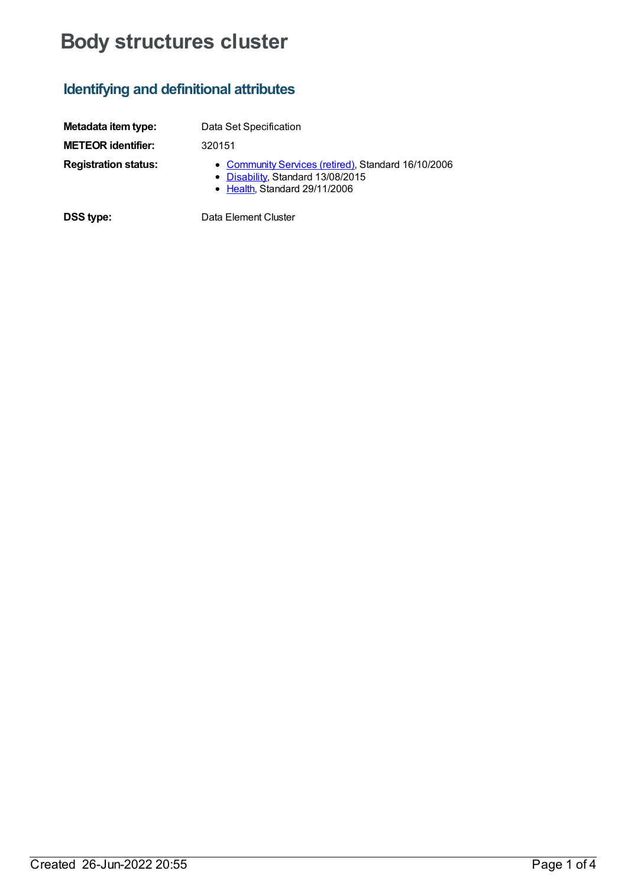# **Body structures cluster**

## **Identifying and definitional attributes**

| Metadata item type:         | Data Set Specification                                                                                                    |
|-----------------------------|---------------------------------------------------------------------------------------------------------------------------|
| <b>METEOR identifier:</b>   | 320151                                                                                                                    |
| <b>Registration status:</b> | • Community Services (retired), Standard 16/10/2006<br>• Disability, Standard 13/08/2015<br>• Health, Standard 29/11/2006 |

**DSS type:** Data Element Cluster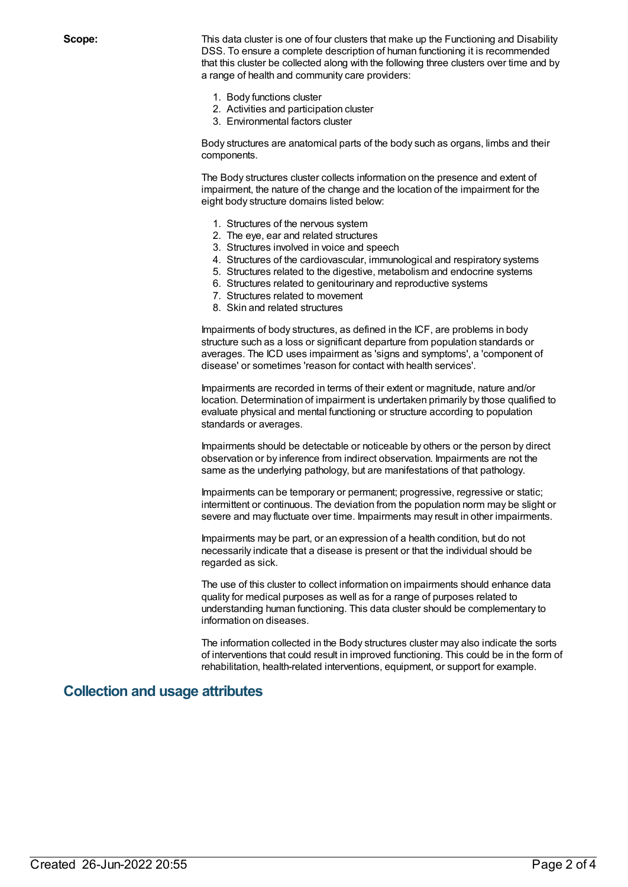**Scope:** This data cluster is one of four clusters that make up the Functioning and Disability DSS. To ensure a complete description of human functioning it is recommended that this cluster be collected along with the following three clusters over time and by a range of health and community care providers:

- 1. Body functions cluster
- 2. Activities and participation cluster
- 3. Environmental factors cluster

Body structures are anatomical parts of the body such as organs, limbs and their components.

The Body structures cluster collects information on the presence and extent of impairment, the nature of the change and the location of the impairment for the eight body structure domains listed below:

- 1. Structures of the nervous system
- 2. The eye, ear and related structures
- 3. Structures involved in voice and speech
- 4. Structures of the cardiovascular, immunological and respiratory systems
- 5. Structures related to the digestive, metabolism and endocrine systems
- 6. Structures related to genitourinary and reproductive systems
- 7. Structures related to movement
- 8. Skin and related structures

Impairments of body structures, as defined in the ICF, are problems in body structure such as a loss or significant departure from population standards or averages. The ICD uses impairment as 'signs and symptoms', a 'component of disease' or sometimes 'reason for contact with health services'.

Impairments are recorded in terms of their extent or magnitude, nature and/or location. Determination of impairment is undertaken primarily by those qualified to evaluate physical and mental functioning or structure according to population standards or averages.

Impairments should be detectable or noticeable by others or the person by direct observation or by inference from indirect observation. Impairments are not the same as the underlying pathology, but are manifestations of that pathology.

Impairments can be temporary or permanent; progressive, regressive or static; intermittent or continuous. The deviation from the population norm may be slight or severe and may fluctuate over time. Impairments may result in other impairments.

Impairments may be part, or an expression of a health condition, but do not necessarily indicate that a disease is present or that the individual should be regarded as sick.

The use of this cluster to collect information on impairments should enhance data quality for medical purposes as well as for a range of purposes related to understanding human functioning. This data cluster should be complementary to information on diseases.

The information collected in the Body structures cluster may also indicate the sorts of interventions that could result in improved functioning. This could be in the form of rehabilitation, health-related interventions, equipment, or support for example.

#### **Collection and usage attributes**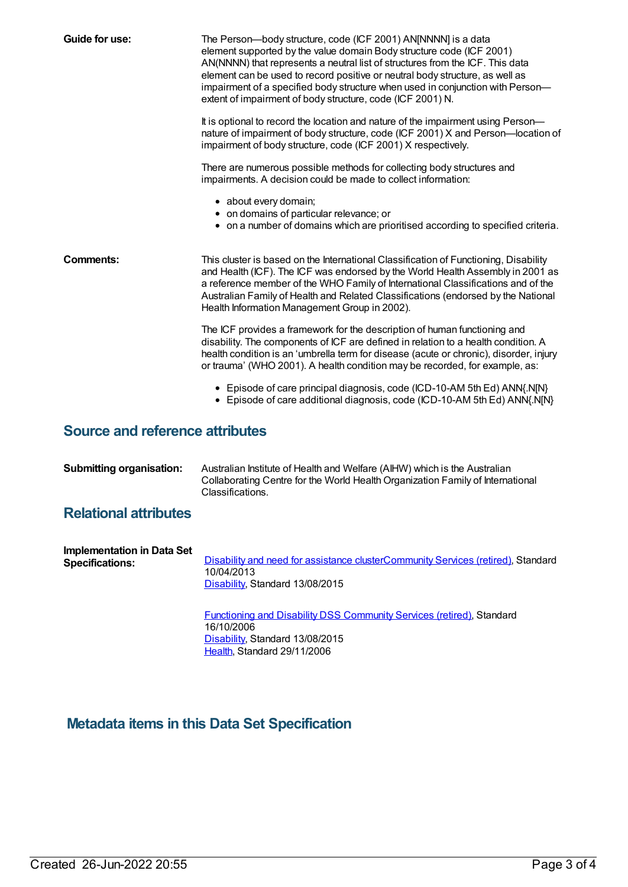| Guide for use:                         | The Person-body structure, code (ICF 2001) AN[NNNN] is a data<br>element supported by the value domain Body structure code (ICF 2001)<br>AN(NNNN) that represents a neutral list of structures from the ICF. This data<br>element can be used to record positive or neutral body structure, as well as<br>impairment of a specified body structure when used in conjunction with Person-<br>extent of impairment of body structure, code (ICF 2001) N. |
|----------------------------------------|--------------------------------------------------------------------------------------------------------------------------------------------------------------------------------------------------------------------------------------------------------------------------------------------------------------------------------------------------------------------------------------------------------------------------------------------------------|
|                                        | It is optional to record the location and nature of the impairment using Person-<br>nature of impairment of body structure, code (ICF 2001) X and Person-location of<br>impairment of body structure, code (ICF 2001) X respectively.                                                                                                                                                                                                                  |
|                                        | There are numerous possible methods for collecting body structures and<br>impairments. A decision could be made to collect information:                                                                                                                                                                                                                                                                                                                |
|                                        | • about every domain;<br>• on domains of particular relevance; or<br>• on a number of domains which are prioritised according to specified criteria.                                                                                                                                                                                                                                                                                                   |
| Comments:                              | This cluster is based on the International Classification of Functioning, Disability<br>and Health (ICF). The ICF was endorsed by the World Health Assembly in 2001 as<br>a reference member of the WHO Family of International Classifications and of the<br>Australian Family of Health and Related Classifications (endorsed by the National<br>Health Information Management Group in 2002).                                                       |
|                                        | The ICF provides a framework for the description of human functioning and<br>disability. The components of ICF are defined in relation to a health condition. A<br>health condition is an 'umbrella term for disease (acute or chronic), disorder, injury<br>or trauma' (WHO 2001). A health condition may be recorded, for example, as:                                                                                                               |
|                                        | • Episode of care principal diagnosis, code (ICD-10-AM 5th Ed) ANN{.N[N}<br>• Episode of care additional diagnosis, code (ICD-10-AM 5th Ed) ANN{.N[N]                                                                                                                                                                                                                                                                                                  |
| <b>Source and reference attributes</b> |                                                                                                                                                                                                                                                                                                                                                                                                                                                        |

| <b>Submitting organisation:</b> | Australian Institute of Health and Welfare (AIHW) which is the Australian      |
|---------------------------------|--------------------------------------------------------------------------------|
|                                 | Collaborating Centre for the World Health Organization Family of International |
|                                 | Classifications.                                                               |

### **Relational attributes**

| Implementation in Data Set<br><b>Specifications:</b> | Disability and need for assistance clusterCommunity Services (retired), Standard<br>10/04/2013<br>Disability, Standard 13/08/2015 |
|------------------------------------------------------|-----------------------------------------------------------------------------------------------------------------------------------|
|                                                      | Functioning and Disability DSS Community Services (retired), Standard<br>16/10/2006                                               |

[Disability](https://meteor.aihw.gov.au/RegistrationAuthority/16), Standard 13/08/2015 [Health](https://meteor.aihw.gov.au/RegistrationAuthority/12), Standard 29/11/2006

# **Metadata items in this Data Set Specification**